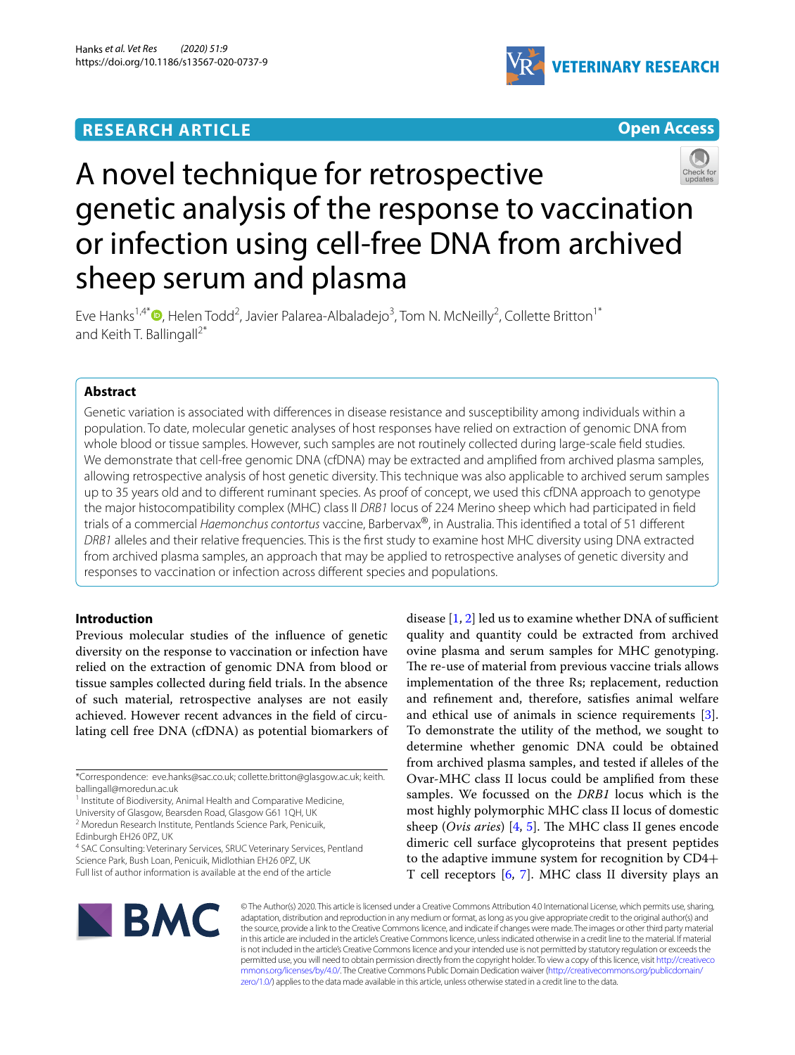## **RESEARCH ARTICLE**



**Open Access**

# A novel technique for retrospective genetic analysis of the response to vaccination or infection using cell-free DNA from archived sheep serum and plasma

Eve Hanks<sup>1,4\*</sup><sup>®</sup>[,](http://orcid.org/0000-0002-4063-1304) Helen Todd<sup>2</sup>, Javier Palarea-Albaladejo<sup>3</sup>, Tom N. McNeilly<sup>2</sup>, Collette Britton<sup>1\*</sup> and Keith T. Ballingall<sup>2\*</sup>

### **Abstract**

Genetic variation is associated with diferences in disease resistance and susceptibility among individuals within a population. To date, molecular genetic analyses of host responses have relied on extraction of genomic DNA from whole blood or tissue samples. However, such samples are not routinely collected during large-scale feld studies. We demonstrate that cell-free genomic DNA (cfDNA) may be extracted and amplifed from archived plasma samples, allowing retrospective analysis of host genetic diversity. This technique was also applicable to archived serum samples up to 35 years old and to diferent ruminant species. As proof of concept, we used this cfDNA approach to genotype the major histocompatibility complex (MHC) class II *DRB1* locus of 224 Merino sheep which had participated in feld trials of a commercial *Haemonchus contortus* vaccine, Barbervax®, in Australia. This identifed a total of 51 diferent *DRB1* alleles and their relative frequencies. This is the frst study to examine host MHC diversity using DNA extracted from archived plasma samples, an approach that may be applied to retrospective analyses of genetic diversity and responses to vaccination or infection across diferent species and populations.

#### **Introduction**

Previous molecular studies of the infuence of genetic diversity on the response to vaccination or infection have relied on the extraction of genomic DNA from blood or tissue samples collected during feld trials. In the absence of such material, retrospective analyses are not easily achieved. However recent advances in the feld of circulating cell free DNA (cfDNA) as potential biomarkers of

\*Correspondence: eve.hanks@sac.co.uk; collette.britton@glasgow.ac.uk; keith. ballingall@moredun.ac.uk

<sup>1</sup> Institute of Biodiversity, Animal Health and Comparative Medicine,

University of Glasgow, Bearsden Road, Glasgow G61 1QH, UK 2 Moredun Research Institute, Pentlands Science Park, Penicuik,

Edinburgh EH26 0PZ, UK

<sup>4</sup> SAC Consulting: Veterinary Services, SRUC Veterinary Services, Pentland Science Park, Bush Loan, Penicuik, Midlothian EH26 0PZ, UK Full list of author information is available at the end of the article

disease  $[1, 2]$  $[1, 2]$  $[1, 2]$  $[1, 2]$  led us to examine whether DNA of sufficient quality and quantity could be extracted from archived ovine plasma and serum samples for MHC genotyping. The re-use of material from previous vaccine trials allows implementation of the three Rs; replacement, reduction and refnement and, therefore, satisfes animal welfare and ethical use of animals in science requirements [\[3](#page-5-2)]. To demonstrate the utility of the method, we sought to determine whether genomic DNA could be obtained from archived plasma samples, and tested if alleles of the Ovar-MHC class II locus could be amplifed from these samples. We focussed on the *DRB1* locus which is the most highly polymorphic MHC class II locus of domestic sheep (*Ovis aries*) [\[4](#page-5-3), [5](#page-5-4)]. The MHC class II genes encode dimeric cell surface glycoproteins that present peptides to the adaptive immune system for recognition by CD4+ T cell receptors [[6,](#page-5-5) [7\]](#page-5-6). MHC class II diversity plays an



© The Author(s) 2020. This article is licensed under a Creative Commons Attribution 4.0 International License, which permits use, sharing, adaptation, distribution and reproduction in any medium or format, as long as you give appropriate credit to the original author(s) and the source, provide a link to the Creative Commons licence, and indicate if changes were made. The images or other third party material in this article are included in the article's Creative Commons licence, unless indicated otherwise in a credit line to the material. If material is not included in the article's Creative Commons licence and your intended use is not permitted by statutory regulation or exceeds the permitted use, you will need to obtain permission directly from the copyright holder. To view a copy of this licence, visit [http://creativeco](http://creativecommons.org/licenses/by/4.0/) [mmons.org/licenses/by/4.0/.](http://creativecommons.org/licenses/by/4.0/) The Creative Commons Public Domain Dedication waiver ([http://creativecommons.org/publicdomain/](http://creativecommons.org/publicdomain/zero/1.0/) [zero/1.0/\)](http://creativecommons.org/publicdomain/zero/1.0/) applies to the data made available in this article, unless otherwise stated in a credit line to the data.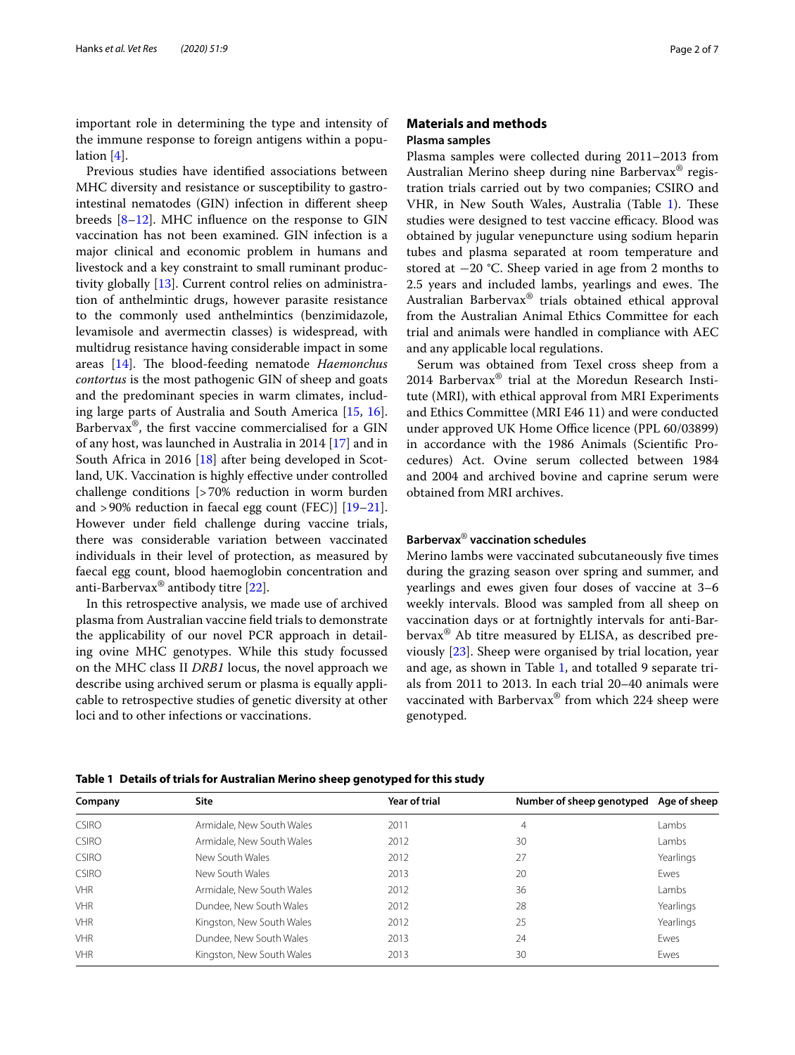important role in determining the type and intensity of the immune response to foreign antigens within a population [[4\]](#page-5-3).

Previous studies have identifed associations between MHC diversity and resistance or susceptibility to gastrointestinal nematodes (GIN) infection in diferent sheep breeds [[8–](#page-5-7)[12](#page-5-8)]. MHC infuence on the response to GIN vaccination has not been examined. GIN infection is a major clinical and economic problem in humans and livestock and a key constraint to small ruminant productivity globally [[13](#page-5-9)]. Current control relies on administration of anthelmintic drugs, however parasite resistance to the commonly used anthelmintics (benzimidazole, levamisole and avermectin classes) is widespread, with multidrug resistance having considerable impact in some areas [[14](#page-5-10)]. The blood-feeding nematode *Haemonchus contortus* is the most pathogenic GIN of sheep and goats and the predominant species in warm climates, including large parts of Australia and South America [[15,](#page-5-11) [16](#page-5-12)]. Barbervax®, the frst vaccine commercialised for a GIN of any host, was launched in Australia in 2014 [\[17](#page-5-13)] and in South Africa in 2016 [[18](#page-5-14)] after being developed in Scotland, UK. Vaccination is highly efective under controlled challenge conditions [>70% reduction in worm burden and >90% reduction in faecal egg count (FEC)] [[19](#page-5-15)[–21](#page-5-16)]. However under feld challenge during vaccine trials, there was considerable variation between vaccinated individuals in their level of protection, as measured by faecal egg count, blood haemoglobin concentration and anti-Barbervax<sup>®</sup> antibody titre  $[22]$  $[22]$ .

In this retrospective analysis, we made use of archived plasma from Australian vaccine feld trials to demonstrate the applicability of our novel PCR approach in detailing ovine MHC genotypes. While this study focussed on the MHC class II *DRB1* locus, the novel approach we describe using archived serum or plasma is equally applicable to retrospective studies of genetic diversity at other loci and to other infections or vaccinations.

#### <span id="page-1-1"></span>**Materials and methods Plasma samples**

Plasma samples were collected during 2011–2013 from Australian Merino sheep during nine Barbervax® registration trials carried out by two companies; CSIRO and VHR, in New South Wales, Australia (Table [1\)](#page-1-0). These studies were designed to test vaccine efficacy. Blood was obtained by jugular venepuncture using sodium heparin tubes and plasma separated at room temperature and stored at −20 °C. Sheep varied in age from 2 months to 2.5 years and included lambs, yearlings and ewes. The Australian Barbervax® trials obtained ethical approval from the Australian Animal Ethics Committee for each trial and animals were handled in compliance with AEC and any applicable local regulations.

Serum was obtained from Texel cross sheep from a 2014 Barbervax® trial at the Moredun Research Institute (MRI), with ethical approval from MRI Experiments and Ethics Committee (MRI E46 11) and were conducted under approved UK Home Office licence (PPL 60/03899) in accordance with the 1986 Animals (Scientifc Procedures) Act. Ovine serum collected between 1984 and 2004 and archived bovine and caprine serum were obtained from MRI archives.

#### **Barbervax**® **vaccination schedules**

Merino lambs were vaccinated subcutaneously fve times during the grazing season over spring and summer, and yearlings and ewes given four doses of vaccine at 3–6 weekly intervals. Blood was sampled from all sheep on vaccination days or at fortnightly intervals for anti-Barbervax® Ab titre measured by ELISA, as described previously [\[23](#page-5-18)]. Sheep were organised by trial location, year and age, as shown in Table [1](#page-1-0), and totalled 9 separate trials from 2011 to 2013. In each trial 20–40 animals were vaccinated with Barbervax® from which 224 sheep were genotyped.

| Company      | Site                      | Year of trial | Number of sheep genotyped | Age of sheep |
|--------------|---------------------------|---------------|---------------------------|--------------|
| <b>CSIRO</b> | Armidale, New South Wales | 2011          | 4                         | Lambs        |
| <b>CSIRO</b> | Armidale, New South Wales | 2012          | 30                        | Lambs        |
| <b>CSIRO</b> | New South Wales           | 2012          | 27                        | Yearlings    |
| <b>CSIRO</b> | New South Wales           | 2013          | 20                        | Ewes         |
| <b>VHR</b>   | Armidale, New South Wales | 2012          | 36                        | Lambs        |
| <b>VHR</b>   | Dundee, New South Wales   | 2012          | 28                        | Yearlings    |
| <b>VHR</b>   | Kingston, New South Wales | 2012          | 25                        | Yearlings    |
| <b>VHR</b>   | Dundee, New South Wales   | 2013          | 24                        | Ewes         |
| <b>VHR</b>   | Kingston, New South Wales | 2013          | 30                        | Ewes         |
|              |                           |               |                           |              |

<span id="page-1-0"></span>**Table 1 Details of trials for Australian Merino sheep genotyped for this study**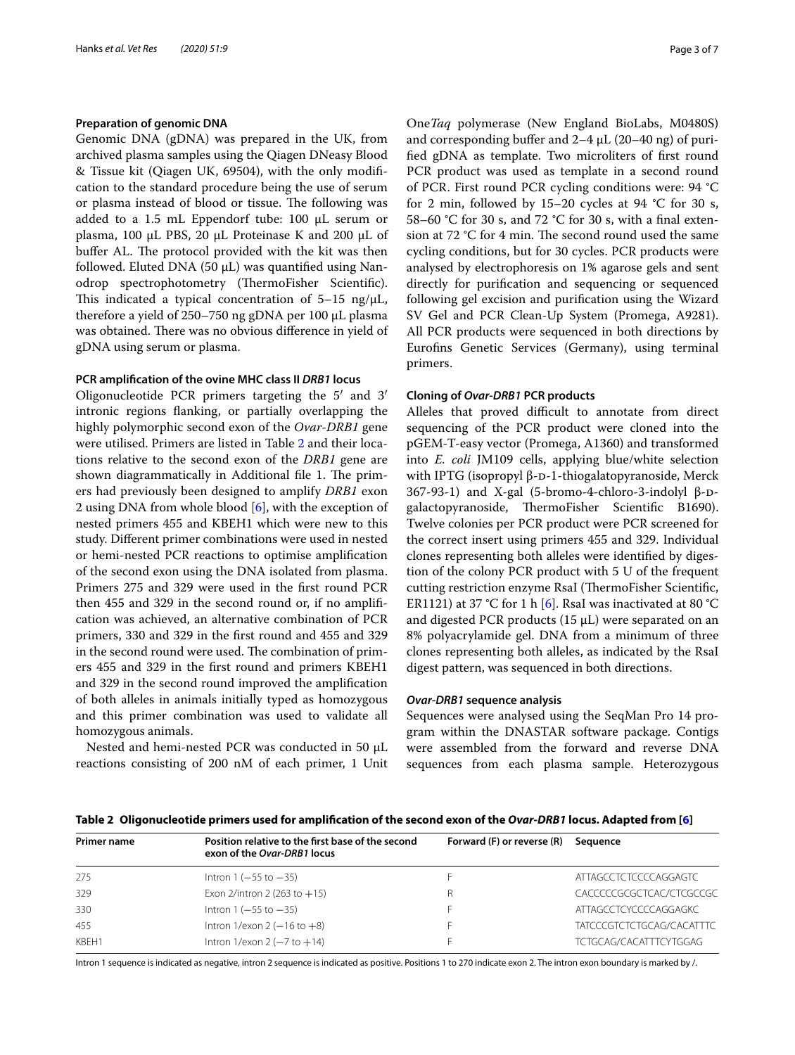#### **Preparation of genomic DNA**

Genomic DNA (gDNA) was prepared in the UK, from archived plasma samples using the Qiagen DNeasy Blood & Tissue kit (Qiagen UK, 69504), with the only modifcation to the standard procedure being the use of serum or plasma instead of blood or tissue. The following was added to a 1.5 mL Eppendorf tube: 100 µL serum or plasma, 100 uL PBS, 20 uL Proteinase K and 200 uL of buffer AL. The protocol provided with the kit was then followed. Eluted DNA (50  $\mu$ L) was quantified using Nanodrop spectrophotometry (ThermoFisher Scientific). This indicated a typical concentration of  $5-15$  ng/ $\mu$ L, therefore a yield of 250–750 ng gDNA per 100 µL plasma was obtained. There was no obvious difference in yield of gDNA using serum or plasma.

#### **PCR amplifcation of the ovine MHC class II** *DRB1* **locus**

Oligonucleotide PCR primers targeting the 5′ and 3′ intronic regions fanking, or partially overlapping the highly polymorphic second exon of the *Ovar*-*DRB1* gene were utilised. Primers are listed in Table [2](#page-2-0) and their locations relative to the second exon of the *DRB1* gene are shown diagrammatically in Additional file 1. The primers had previously been designed to amplify *DRB1* exon 2 using DNA from whole blood [\[6](#page-5-5)], with the exception of nested primers 455 and KBEH1 which were new to this study. Diferent primer combinations were used in nested or hemi-nested PCR reactions to optimise amplifcation of the second exon using the DNA isolated from plasma. Primers 275 and 329 were used in the frst round PCR then 455 and 329 in the second round or, if no amplifcation was achieved, an alternative combination of PCR primers, 330 and 329 in the frst round and 455 and 329 in the second round were used. The combination of primers 455 and 329 in the frst round and primers KBEH1 and 329 in the second round improved the amplifcation of both alleles in animals initially typed as homozygous and this primer combination was used to validate all homozygous animals.

Nested and hemi-nested PCR was conducted in 50 µL reactions consisting of 200 nM of each primer, 1 Unit One*Taq* polymerase (New England BioLabs, M0480S) and corresponding buffer and  $2-4 \mu L$  (20–40 ng) of purifed gDNA as template. Two microliters of frst round PCR product was used as template in a second round of PCR. First round PCR cycling conditions were: 94 °C for 2 min, followed by  $15-20$  cycles at 94 °C for 30 s, 58–60 °C for 30 s, and 72 °C for 30 s, with a fnal extension at 72  $\degree$ C for 4 min. The second round used the same cycling conditions, but for 30 cycles. PCR products were analysed by electrophoresis on 1% agarose gels and sent directly for purifcation and sequencing or sequenced following gel excision and purifcation using the Wizard SV Gel and PCR Clean-Up System (Promega, A9281). All PCR products were sequenced in both directions by Eurofns Genetic Services (Germany), using terminal primers.

#### **Cloning of** *Ovar***‑***DRB1* **PCR products**

Alleles that proved difficult to annotate from direct sequencing of the PCR product were cloned into the pGEM-T-easy vector (Promega, A1360) and transformed into *E. coli* JM109 cells, applying blue/white selection with IPTG (isopropyl β-D-1-thiogalatopyranoside, Merck 367-93-1) and X-gal (5-bromo-4-chloro-3-indolyl β-Dgalactopyranoside, ThermoFisher Scientific B1690). Twelve colonies per PCR product were PCR screened for the correct insert using primers 455 and 329. Individual clones representing both alleles were identifed by digestion of the colony PCR product with 5 U of the frequent cutting restriction enzyme RsaI (ThermoFisher Scientific, ER1121) at 37 °C for 1 h [[6](#page-5-5)]. RsaI was inactivated at 80 °C and digested PCR products (15 µL) were separated on an 8% polyacrylamide gel. DNA from a minimum of three clones representing both alleles, as indicated by the RsaI digest pattern, was sequenced in both directions.

#### *Ovar***‑***DRB1* **sequence analysis**

Sequences were analysed using the SeqMan Pro 14 program within the DNASTAR software package. Contigs were assembled from the forward and reverse DNA sequences from each plasma sample. Heterozygous

<span id="page-2-0"></span>**Table 2 Oligonucleotide primers used for amplifcation of the second exon of the** *Ovar***-***DRB1* **locus. Adapted from [[6\]](#page-5-5)**

| Primer name | Position relative to the first base of the second<br>exon of the Ovar-DRB1 locus | Forward (F) or reverse (R) | Sequence                  |
|-------------|----------------------------------------------------------------------------------|----------------------------|---------------------------|
| 275         | Intron $1(-55$ to $-35)$                                                         |                            | ATTAGCCTCTCCCCCAGGAGTC    |
| 329         | Exon 2/intron 2 (263 to $+15$ )                                                  | R                          | CACCCCCGCGCTCAC/CTCGCCGC  |
| 330         | Intron $1(-55$ to $-35)$                                                         |                            | ATTAGCCTCYCCCCAGGAGKC     |
| 455         | Intron $1$ /exon $2$ ( $-16$ to $+8$ )                                           |                            | TATCCCGTCTCTGCAG/CACATTTC |
| KBFH1       | Intron $1$ /exon $2$ ( $-7$ to $+14$ )                                           |                            | TCTGCAG/CACATTTCYTGGAG    |

Intron 1 sequence is indicated as negative, intron 2 sequence is indicated as positive. Positions 1 to 270 indicate exon 2. The intron exon boundary is marked by /.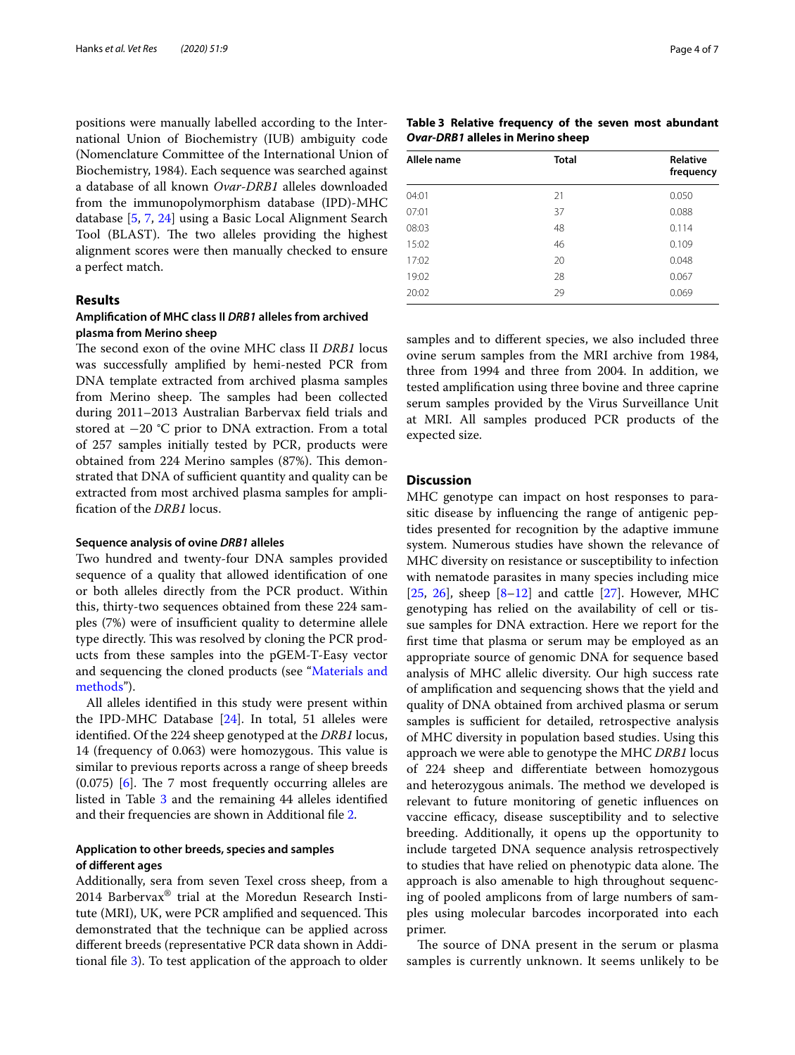positions were manually labelled according to the International Union of Biochemistry (IUB) ambiguity code (Nomenclature Committee of the International Union of Biochemistry, 1984). Each sequence was searched against a database of all known *Ovar*-*DRB1* alleles downloaded from the immunopolymorphism database (IPD)-MHC database [\[5](#page-5-4), [7](#page-5-6), [24](#page-5-19)] using a Basic Local Alignment Search Tool (BLAST). The two alleles providing the highest alignment scores were then manually checked to ensure a perfect match.

#### **Results**

#### **Amplifcation of MHC class II** *DRB1* **alleles from archived plasma from Merino sheep**

The second exon of the ovine MHC class II *DRB1* locus was successfully amplifed by hemi-nested PCR from DNA template extracted from archived plasma samples from Merino sheep. The samples had been collected during 2011–2013 Australian Barbervax feld trials and stored at −20 °C prior to DNA extraction. From a total of 257 samples initially tested by PCR, products were obtained from 224 Merino samples (87%). This demonstrated that DNA of sufficient quantity and quality can be extracted from most archived plasma samples for amplifcation of the *DRB1* locus.

#### <span id="page-3-1"></span>**Sequence analysis of ovine** *DRB1* **alleles**

Two hundred and twenty-four DNA samples provided sequence of a quality that allowed identifcation of one or both alleles directly from the PCR product. Within this, thirty-two sequences obtained from these 224 samples (7%) were of insufficient quality to determine allele type directly. This was resolved by cloning the PCR products from these samples into the pGEM-T-Easy vector and sequencing the cloned products (see "[Materials and](#page-1-1)  [methods](#page-1-1)").

All alleles identifed in this study were present within the IPD-MHC Database [[24\]](#page-5-19). In total, 51 alleles were identifed. Of the 224 sheep genotyped at the *DRB1* locus, 14 (frequency of 0.063) were homozygous. This value is similar to previous reports across a range of sheep breeds  $(0.075)$  [\[6](#page-5-5)]. The 7 most frequently occurring alleles are listed in Table [3](#page-3-0) and the remaining 44 alleles identified and their frequencies are shown in Additional fle [2](#page-4-0).

#### **Application to other breeds, species and samples of diferent ages**

Additionally, sera from seven Texel cross sheep, from a 2014 Barbervax® trial at the Moredun Research Institute (MRI), UK, were PCR amplified and sequenced. This demonstrated that the technique can be applied across diferent breeds (representative PCR data shown in Additional fle [3](#page-5-20)). To test application of the approach to older

<span id="page-3-0"></span>

|  | Table 3 Relative frequency of the seven most abundant |  |  |
|--|-------------------------------------------------------|--|--|
|  | Ovar-DRB1 alleles in Merino sheep                     |  |  |

| Allele name | <b>Total</b> | <b>Relative</b><br>frequency |
|-------------|--------------|------------------------------|
| 04:01       | 21           | 0.050                        |
| 07:01       | 37           | 0.088                        |
| 08:03       | 48           | 0.114                        |
| 15:02       | 46           | 0.109                        |
| 17:02       | 20           | 0.048                        |
| 19:02       | 28           | 0.067                        |
| 20:02       | 29           | 0.069                        |

samples and to diferent species, we also included three ovine serum samples from the MRI archive from 1984, three from 1994 and three from 2004. In addition, we tested amplifcation using three bovine and three caprine serum samples provided by the Virus Surveillance Unit at MRI. All samples produced PCR products of the expected size.

#### **Discussion**

MHC genotype can impact on host responses to parasitic disease by infuencing the range of antigenic peptides presented for recognition by the adaptive immune system. Numerous studies have shown the relevance of MHC diversity on resistance or susceptibility to infection with nematode parasites in many species including mice [[25,](#page-5-21) [26](#page-5-22)], sheep  $[8-12]$  $[8-12]$  and cattle [[27](#page-5-23)]. However, MHC genotyping has relied on the availability of cell or tissue samples for DNA extraction. Here we report for the frst time that plasma or serum may be employed as an appropriate source of genomic DNA for sequence based analysis of MHC allelic diversity. Our high success rate of amplifcation and sequencing shows that the yield and quality of DNA obtained from archived plasma or serum samples is sufficient for detailed, retrospective analysis of MHC diversity in population based studies. Using this approach we were able to genotype the MHC *DRB1* locus of 224 sheep and diferentiate between homozygous and heterozygous animals. The method we developed is relevant to future monitoring of genetic infuences on vaccine efficacy, disease susceptibility and to selective breeding. Additionally, it opens up the opportunity to include targeted DNA sequence analysis retrospectively to studies that have relied on phenotypic data alone. The approach is also amenable to high throughout sequencing of pooled amplicons from of large numbers of samples using molecular barcodes incorporated into each primer.

The source of DNA present in the serum or plasma samples is currently unknown. It seems unlikely to be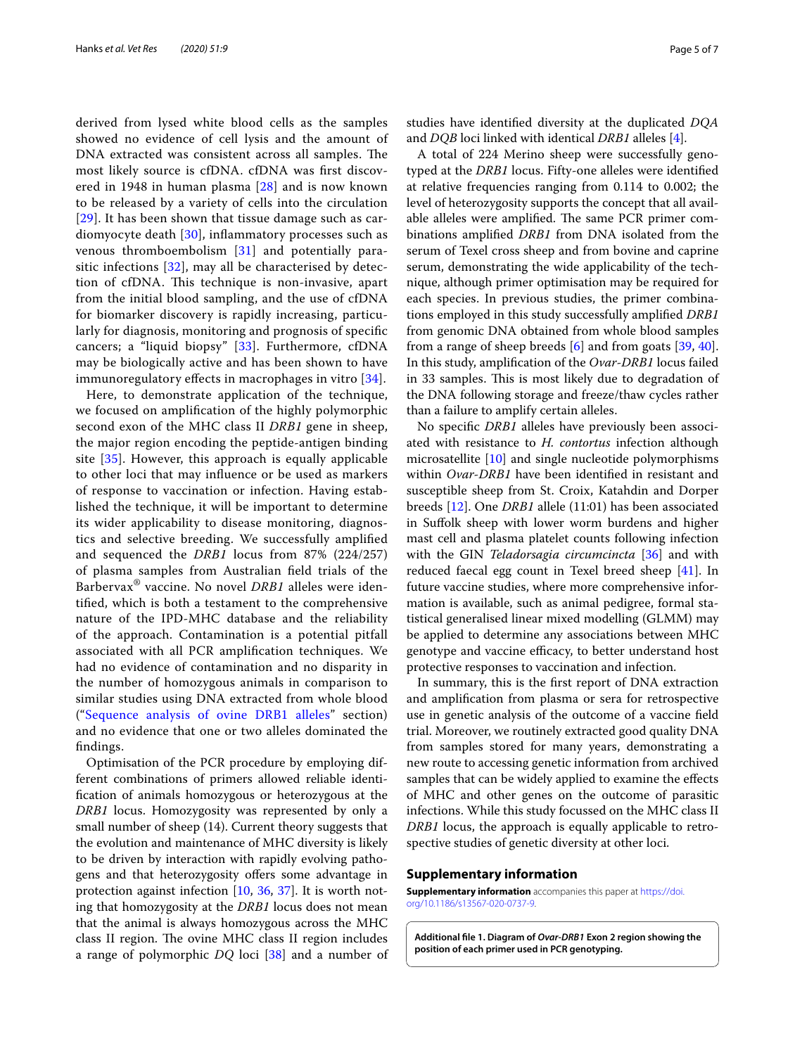derived from lysed white blood cells as the samples showed no evidence of cell lysis and the amount of DNA extracted was consistent across all samples. The most likely source is cfDNA. cfDNA was frst discovered in 1948 in human plasma [[28\]](#page-5-24) and is now known to be released by a variety of cells into the circulation [[29](#page-5-25)]. It has been shown that tissue damage such as cardiomyocyte death [\[30](#page-6-0)], infammatory processes such as venous thromboembolism [[31\]](#page-6-1) and potentially parasitic infections [[32\]](#page-6-2), may all be characterised by detection of cfDNA. This technique is non-invasive, apart from the initial blood sampling, and the use of cfDNA for biomarker discovery is rapidly increasing, particularly for diagnosis, monitoring and prognosis of specifc cancers; a "liquid biopsy" [[33\]](#page-6-3). Furthermore, cfDNA may be biologically active and has been shown to have immunoregulatory effects in macrophages in vitro [[34\]](#page-6-4).

Here, to demonstrate application of the technique, we focused on amplifcation of the highly polymorphic second exon of the MHC class II *DRB1* gene in sheep, the major region encoding the peptide-antigen binding site [\[35\]](#page-6-5). However, this approach is equally applicable to other loci that may infuence or be used as markers of response to vaccination or infection. Having established the technique, it will be important to determine its wider applicability to disease monitoring, diagnostics and selective breeding. We successfully amplifed and sequenced the *DRB1* locus from 87% (224/257) of plasma samples from Australian feld trials of the Barbervax® vaccine. No novel *DRB1* alleles were identifed, which is both a testament to the comprehensive nature of the IPD-MHC database and the reliability of the approach. Contamination is a potential pitfall associated with all PCR amplifcation techniques. We had no evidence of contamination and no disparity in the number of homozygous animals in comparison to similar studies using DNA extracted from whole blood ("[Sequence analysis of ovine DRB1 alleles](#page-3-1)" section) and no evidence that one or two alleles dominated the fndings.

Optimisation of the PCR procedure by employing different combinations of primers allowed reliable identifcation of animals homozygous or heterozygous at the *DRB1* locus. Homozygosity was represented by only a small number of sheep (14). Current theory suggests that the evolution and maintenance of MHC diversity is likely to be driven by interaction with rapidly evolving pathogens and that heterozygosity ofers some advantage in protection against infection [[10](#page-5-26), [36,](#page-6-6) [37\]](#page-6-7). It is worth noting that homozygosity at the *DRB1* locus does not mean that the animal is always homozygous across the MHC class II region. The ovine MHC class II region includes a range of polymorphic *DQ* loci [\[38](#page-6-8)] and a number of studies have identifed diversity at the duplicated *DQA* and *DQB* loci linked with identical *DRB1* alleles [[4\]](#page-5-3).

A total of 224 Merino sheep were successfully genotyped at the *DRB1* locus. Fifty-one alleles were identifed at relative frequencies ranging from 0.114 to 0.002; the level of heterozygosity supports the concept that all available alleles were amplified. The same PCR primer combinations amplifed *DRB1* from DNA isolated from the serum of Texel cross sheep and from bovine and caprine serum, demonstrating the wide applicability of the technique, although primer optimisation may be required for each species. In previous studies, the primer combinations employed in this study successfully amplifed *DRB1* from genomic DNA obtained from whole blood samples from a range of sheep breeds [[6\]](#page-5-5) and from goats [[39](#page-6-9), [40](#page-6-10)]. In this study, amplifcation of the *Ovar*-*DRB1* locus failed in 33 samples. This is most likely due to degradation of the DNA following storage and freeze/thaw cycles rather than a failure to amplify certain alleles.

No specifc *DRB1* alleles have previously been associated with resistance to *H. contortus* infection although microsatellite [[10](#page-5-26)] and single nucleotide polymorphisms within *Ovar*-*DRB1* have been identifed in resistant and susceptible sheep from St. Croix, Katahdin and Dorper breeds [[12\]](#page-5-8). One *DRB1* allele (11:01) has been associated in Sufolk sheep with lower worm burdens and higher mast cell and plasma platelet counts following infection with the GIN *Teladorsagia circumcincta* [[36](#page-6-6)] and with reduced faecal egg count in Texel breed sheep [[41](#page-6-11)]. In future vaccine studies, where more comprehensive information is available, such as animal pedigree, formal statistical generalised linear mixed modelling (GLMM) may be applied to determine any associations between MHC genotype and vaccine efficacy, to better understand host protective responses to vaccination and infection.

In summary, this is the frst report of DNA extraction and amplifcation from plasma or sera for retrospective use in genetic analysis of the outcome of a vaccine feld trial. Moreover, we routinely extracted good quality DNA from samples stored for many years, demonstrating a new route to accessing genetic information from archived samples that can be widely applied to examine the efects of MHC and other genes on the outcome of parasitic infections. While this study focussed on the MHC class II *DRB1* locus, the approach is equally applicable to retrospective studies of genetic diversity at other loci.

#### **Supplementary information**

**Supplementary information** accompanies this paper at [https://doi.](https://doi.org/10.1186/s13567-020-0737-9) [org/10.1186/s13567-020-0737-9.](https://doi.org/10.1186/s13567-020-0737-9)

<span id="page-4-0"></span>**Additional fle 1. Diagram of** *Ovar***-***DRB1* **Exon 2 region showing the position of each primer used in PCR genotyping.**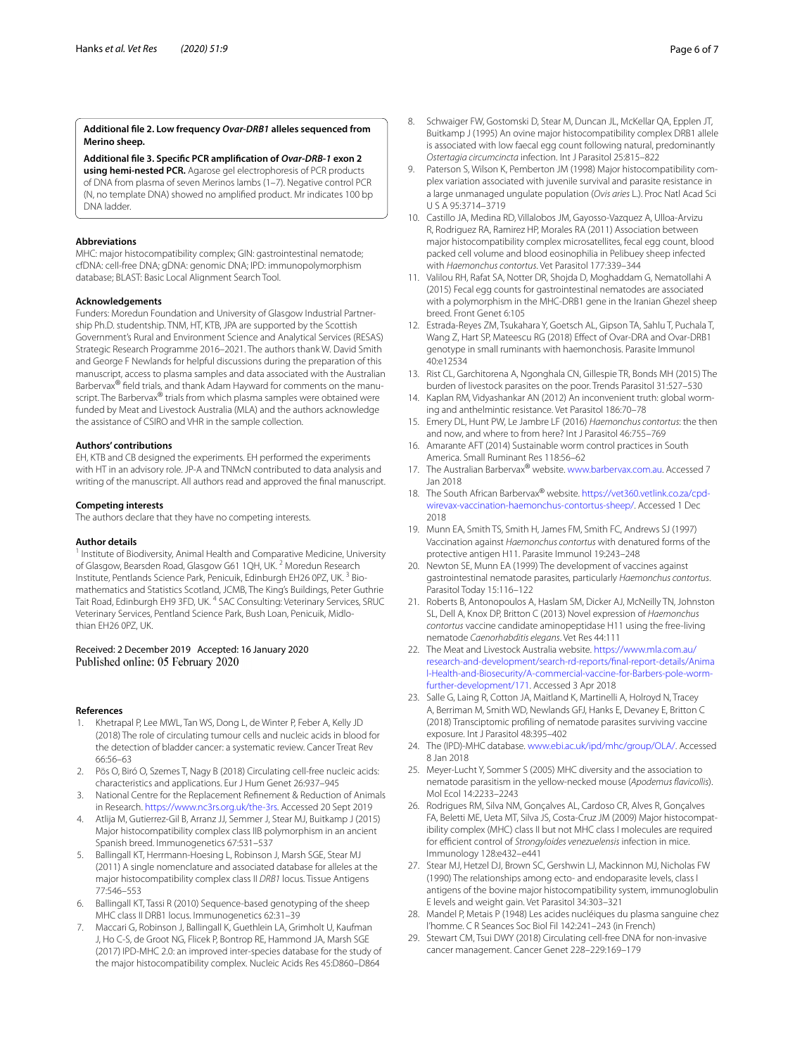#### <span id="page-5-20"></span>**Additional fle 2. Low frequency** *Ovar***-***DRB1* **alleles sequenced from Merino sheep.**

**Additional fle 3. Specifc PCR amplifcation of** *Ovar***-***DRB***-***1* **exon 2 using hemi-nested PCR.** Agarose gel electrophoresis of PCR products of DNA from plasma of seven Merinos lambs (1–7). Negative control PCR (N, no template DNA) showed no amplifed product. Mr indicates 100 bp DNA ladder.

#### **Abbreviations**

MHC: major histocompatibility complex; GIN: gastrointestinal nematode; cfDNA: cell-free DNA; gDNA: genomic DNA; IPD: immunopolymorphism database; BLAST: Basic Local Alignment Search Tool.

#### **Acknowledgements**

Funders: Moredun Foundation and University of Glasgow Industrial Partnership Ph.D. studentship. TNM, HT, KTB, JPA are supported by the Scottish Government's Rural and Environment Science and Analytical Services (RESAS) Strategic Research Programme 2016–2021. The authors thank W. David Smith and George F Newlands for helpful discussions during the preparation of this manuscript, access to plasma samples and data associated with the Australian Barbervax<sup>®</sup> field trials, and thank Adam Hayward for comments on the manuscript. The Barbervax<sup>®</sup> trials from which plasma samples were obtained were funded by Meat and Livestock Australia (MLA) and the authors acknowledge the assistance of CSIRO and VHR in the sample collection.

#### **Authors' contributions**

EH, KTB and CB designed the experiments. EH performed the experiments with HT in an advisory role. JP-A and TNMcN contributed to data analysis and writing of the manuscript. All authors read and approved the fnal manuscript.

#### **Competing interests**

The authors declare that they have no competing interests.

#### **Author details**

<sup>1</sup> Institute of Biodiversity, Animal Health and Comparative Medicine, University of Glasgow, Bearsden Road, Glasgow G61 1QH, UK. <sup>2</sup> Moredun Research Institute, Pentlands Science Park, Penicuik, Edinburgh EH26 0PZ, UK.<sup>3</sup> Biomathematics and Statistics Scotland, JCMB, The King's Buildings, Peter Guthrie Tait Road, Edinburgh EH9 3FD, UK.<sup>4</sup> SAC Consulting: Veterinary Services, SRUC Veterinary Services, Pentland Science Park, Bush Loan, Penicuik, Midlothian EH26 0PZ, UK.

# Received: 2 December 2019 Accepted: 16 January 2020

#### **References**

- <span id="page-5-0"></span>Khetrapal P, Lee MWL, Tan WS, Dong L, de Winter P, Feber A, Kelly JD (2018) The role of circulating tumour cells and nucleic acids in blood for the detection of bladder cancer: a systematic review. Cancer Treat Rev 66:56–63
- <span id="page-5-1"></span>2. Pös O, Biró O, Szemes T, Nagy B (2018) Circulating cell-free nucleic acids: characteristics and applications. Eur J Hum Genet 26:937–945
- <span id="page-5-2"></span>3. National Centre for the Replacement Refnement & Reduction of Animals in Research. [https://www.nc3rs.org.uk/the-3rs.](https://www.nc3rs.org.uk/the-3rs) Accessed 20 Sept 2019
- <span id="page-5-3"></span>4. Atlija M, Gutierrez-Gil B, Arranz JJ, Semmer J, Stear MJ, Buitkamp J (2015) Major histocompatibility complex class IIB polymorphism in an ancient Spanish breed. Immunogenetics 67:531–537
- <span id="page-5-4"></span>5. Ballingall KT, Herrmann-Hoesing L, Robinson J, Marsh SGE, Stear MJ (2011) A single nomenclature and associated database for alleles at the major histocompatibility complex class II *DRB1* locus. Tissue Antigens 77:546–553
- <span id="page-5-5"></span>6. Ballingall KT, Tassi R (2010) Sequence-based genotyping of the sheep MHC class II DRB1 locus. Immunogenetics 62:31–39
- <span id="page-5-6"></span>7. Maccari G, Robinson J, Ballingall K, Guethlein LA, Grimholt U, Kaufman J, Ho C-S, de Groot NG, Flicek P, Bontrop RE, Hammond JA, Marsh SGE (2017) IPD-MHC 2.0: an improved inter-species database for the study of the major histocompatibility complex. Nucleic Acids Res 45:D860–D864
- <span id="page-5-7"></span>8. Schwaiger FW, Gostomski D, Stear M, Duncan JL, McKellar QA, Epplen JT, Buitkamp J (1995) An ovine major histocompatibility complex DRB1 allele is associated with low faecal egg count following natural, predominantly *Ostertagia circumcincta* infection. Int J Parasitol 25:815–822
- 9. Paterson S, Wilson K, Pemberton JM (1998) Major histocompatibility complex variation associated with juvenile survival and parasite resistance in a large unmanaged ungulate population (*Ovis aries* L.). Proc Natl Acad Sci U S A 95:3714–3719
- <span id="page-5-26"></span>10. Castillo JA, Medina RD, Villalobos JM, Gayosso-Vazquez A, Ulloa-Arvizu R, Rodriguez RA, Ramirez HP, Morales RA (2011) Association between major histocompatibility complex microsatellites, fecal egg count, blood packed cell volume and blood eosinophilia in Pelibuey sheep infected with *Haemonchus contortus*. Vet Parasitol 177:339–344
- 11. Valilou RH, Rafat SA, Notter DR, Shojda D, Moghaddam G, Nematollahi A (2015) Fecal egg counts for gastrointestinal nematodes are associated with a polymorphism in the MHC-DRB1 gene in the Iranian Ghezel sheep breed. Front Genet 6:105
- <span id="page-5-8"></span>12. Estrada-Reyes ZM, Tsukahara Y, Goetsch AL, Gipson TA, Sahlu T, Puchala T, Wang Z, Hart SP, Mateescu RG (2018) Efect of Ovar-DRA and Ovar-DRB1 genotype in small ruminants with haemonchosis. Parasite Immunol 40:e12534
- <span id="page-5-9"></span>13. Rist CL, Garchitorena A, Ngonghala CN, Gillespie TR, Bonds MH (2015) The burden of livestock parasites on the poor. Trends Parasitol 31:527–530
- <span id="page-5-10"></span>14. Kaplan RM, Vidyashankar AN (2012) An inconvenient truth: global worming and anthelmintic resistance. Vet Parasitol 186:70–78
- <span id="page-5-11"></span>15. Emery DL, Hunt PW, Le Jambre LF (2016) *Haemonchus contortus*: the then and now, and where to from here? Int J Parasitol 46:755–769
- <span id="page-5-12"></span>16. Amarante AFT (2014) Sustainable worm control practices in South America. Small Ruminant Res 118:56–62
- <span id="page-5-13"></span>17. The Australian Barbervax® website. [www.barbervax.com.au](http://www.barbervax.com.au). Accessed 7 Jan 2018
- <span id="page-5-14"></span>18. The South African Barbervax® website. [https://vet360.vetlink.co.za/cpd](https://vet360.vetlink.co.za/cpd-wirevax-vaccination-haemonchus-contortus-sheep/)[wirevax-vaccination-haemonchus-contortus-sheep/](https://vet360.vetlink.co.za/cpd-wirevax-vaccination-haemonchus-contortus-sheep/). Accessed 1 Dec 2018
- <span id="page-5-15"></span>19. Munn EA, Smith TS, Smith H, James FM, Smith FC, Andrews SJ (1997) Vaccination against *Haemonchus contortus* with denatured forms of the protective antigen H11. Parasite Immunol 19:243–248
- 20. Newton SE, Munn EA (1999) The development of vaccines against gastrointestinal nematode parasites, particularly *Haemonchus contortus*. Parasitol Today 15:116–122
- <span id="page-5-16"></span>21. Roberts B, Antonopoulos A, Haslam SM, Dicker AJ, McNeilly TN, Johnston SL, Dell A, Knox DP, Britton C (2013) Novel expression of *Haemonchus contortus* vaccine candidate aminopeptidase H11 using the free-living nematode *Caenorhabditis elegans*. Vet Res 44:111
- <span id="page-5-17"></span>22. The Meat and Livestock Australia website. [https://www.mla.com.au/](https://www.mla.com.au/research-and-development/search-rd-reports/final-report-details/Animal-Health-and-Biosecurity/A-commercial-vaccine-for-Barbers-pole-worm-further-development/171) [research-and-development/search-rd-reports/fnal-report-details/Anima](https://www.mla.com.au/research-and-development/search-rd-reports/final-report-details/Animal-Health-and-Biosecurity/A-commercial-vaccine-for-Barbers-pole-worm-further-development/171) [l-Health-and-Biosecurity/A-commercial-vaccine-for-Barbers-pole-worm](https://www.mla.com.au/research-and-development/search-rd-reports/final-report-details/Animal-Health-and-Biosecurity/A-commercial-vaccine-for-Barbers-pole-worm-further-development/171)[further-development/171.](https://www.mla.com.au/research-and-development/search-rd-reports/final-report-details/Animal-Health-and-Biosecurity/A-commercial-vaccine-for-Barbers-pole-worm-further-development/171) Accessed 3 Apr 2018
- <span id="page-5-18"></span>23. Salle G, Laing R, Cotton JA, Maitland K, Martinelli A, Holroyd N, Tracey A, Berriman M, Smith WD, Newlands GFJ, Hanks E, Devaney E, Britton C (2018) Transciptomic profling of nematode parasites surviving vaccine exposure. Int J Parasitol 48:395–402
- <span id="page-5-19"></span>24. The (IPD)-MHC database. [www.ebi.ac.uk/ipd/mhc/group/OLA/](http://www.ebi.ac.uk/ipd/mhc/group/OLA/). Accessed 8 Jan 2018
- <span id="page-5-21"></span>25. Meyer-Lucht Y, Sommer S (2005) MHC diversity and the association to nematode parasitism in the yellow-necked mouse (*Apodemus favicollis*). Mol Ecol 14:2233–2243
- <span id="page-5-22"></span>26. Rodrigues RM, Silva NM, Gonçalves AL, Cardoso CR, Alves R, Gonçalves FA, Beletti ME, Ueta MT, Silva JS, Costa-Cruz JM (2009) Major histocompatibility complex (MHC) class II but not MHC class I molecules are required for efficient control of *Strongyloides venezuelensis* infection in mice. Immunology 128:e432–e441
- <span id="page-5-23"></span>27. Stear MJ, Hetzel DJ, Brown SC, Gershwin LJ, Mackinnon MJ, Nicholas FW (1990) The relationships among ecto- and endoparasite levels, class I antigens of the bovine major histocompatibility system, immunoglobulin E levels and weight gain. Vet Parasitol 34:303–321
- <span id="page-5-24"></span>28. Mandel P, Metais P (1948) Les acides nucléiques du plasma sanguine chez l'homme. C R Seances Soc Biol Fil 142:241–243 (in French)
- <span id="page-5-25"></span>29. Stewart CM, Tsui DWY (2018) Circulating cell-free DNA for non-invasive cancer management. Cancer Genet 228–229:169–179